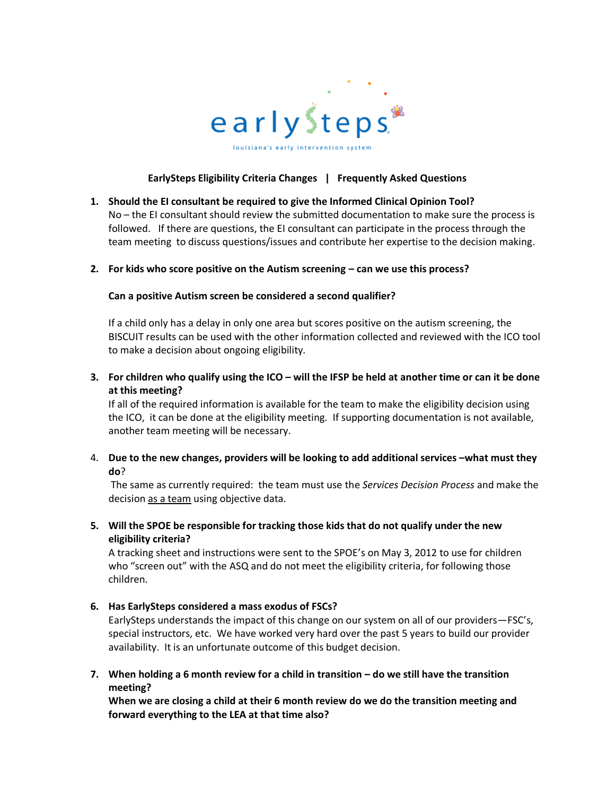

# **EarlySteps Eligibility Criteria Changes | Frequently Asked Questions**

**1. Should the EI consultant be required to give the Informed Clinical Opinion Tool?** No – the EI consultant should review the submitted documentation to make sure the process is followed. If there are questions, the EI consultant can participate in the process through the team meeting to discuss questions/issues and contribute her expertise to the decision making.

#### **2. For kids who score positive on the Autism screening – can we use this process?**

#### **Can a positive Autism screen be considered a second qualifier?**

If a child only has a delay in only one area but scores positive on the autism screening, the BISCUIT results can be used with the other information collected and reviewed with the ICO tool to make a decision about ongoing eligibility.

**3. For children who qualify using the ICO – will the IFSP be held at another time or can it be done at this meeting?**

If all of the required information is available for the team to make the eligibility decision using the ICO, it can be done at the eligibility meeting. If supporting documentation is not available, another team meeting will be necessary.

4. **Due to the new changes, providers will be looking to add additional services –what must they do**?

The same as currently required: the team must use the *Services Decision Process* and make the decision as a team using objective data.

**5. Will the SPOE be responsible for tracking those kids that do not qualify under the new eligibility criteria?** 

A tracking sheet and instructions were sent to the SPOE's on May 3, 2012 to use for children who "screen out" with the ASQ and do not meet the eligibility criteria, for following those children.

**6. Has EarlySteps considered a mass exodus of FSCs?**

EarlySteps understands the impact of this change on our system on all of our providers—FSC's, special instructors, etc. We have worked very hard over the past 5 years to build our provider availability. It is an unfortunate outcome of this budget decision.

**7. When holding a 6 month review for a child in transition – do we still have the transition meeting?**

**When we are closing a child at their 6 month review do we do the transition meeting and forward everything to the LEA at that time also?**